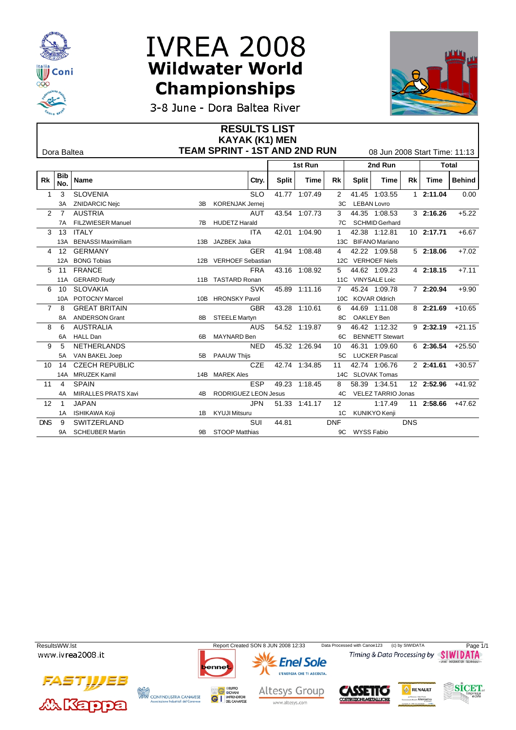



3-8 June - Dora Baltea River

|                  |                   |                        |      | <b>RESULTS LIST</b>                  |              |               |                   |                |                               |            |                      |               |  |
|------------------|-------------------|------------------------|------|--------------------------------------|--------------|---------------|-------------------|----------------|-------------------------------|------------|----------------------|---------------|--|
|                  |                   |                        |      | <b>KAYAK (K1) MEN</b>                |              |               |                   |                |                               |            |                      |               |  |
|                  | Dora Baltea       |                        |      | <b>TEAM SPRINT - 1ST AND 2ND RUN</b> |              |               |                   |                | 08 Jun 2008 Start Time: 11:13 |            |                      |               |  |
|                  |                   |                        |      |                                      | 1st Run      |               |                   | 2nd Run        |                               |            |                      | <b>Total</b>  |  |
| Rk               | <b>Bib</b><br>No. | <b>Name</b>            |      | Ctry.                                | <b>Split</b> | Time          | Rk                | Split          | Time                          | Rk         | Time                 | <b>Behind</b> |  |
|                  | 3                 | <b>SLOVENIA</b>        |      | <b>SLO</b>                           |              | 41.77 1:07.49 | 2                 |                | 41.45 1:03.55                 |            | 12:11.04             | 0.00          |  |
|                  |                   | <b>ZNIDARCIC Nejc</b>  |      | 3B KORENJAK Jernej                   |              |               |                   | 3C LEBAN Lovro |                               |            |                      |               |  |
|                  | $2 \overline{7}$  | <b>AUSTRIA</b>         |      | AUT                                  |              | 43.54 1:07.73 | 3                 |                | 44.35 1:08.53                 |            | 32:16.26             | $+5.22$       |  |
|                  |                   | 7A FILZWIESER Manuel   |      | 7B HUDETZ Harald                     |              |               |                   |                | 7C SCHMID Gerhard             |            |                      |               |  |
|                  | 3 <sub>13</sub>   | <b>ITALY</b>           |      | <b>ITA</b>                           |              | 42.01 1:04.90 | $\mathbf{1}$      |                | 42.38 1:12.81                 |            | 10 2:17.71           | $+6.67$       |  |
|                  |                   | 13A BENASSI Maximiliam |      | 13B JAZBEK Jaka                      |              |               |                   |                | 13C BIFANO Mariano            |            |                      |               |  |
|                  |                   | 4 12 GERMANY           |      | GER                                  |              | 41.94 1:08.48 | $\overline{4}$    |                | 42.22 1:09.58                 |            | 52:18.06             | $+7.02$       |  |
|                  |                   | 12A BONG Tobias        |      | 12B VERHOEF Sebastian                |              |               |                   |                | 12C VERHOEF Niels             |            |                      |               |  |
|                  | $5 \t11$          | <b>FRANCE</b>          |      | <b>FRA</b>                           |              | 43.16 1:08.92 | 5                 |                | 44.62 1:09.23                 |            | 4 2:18.15            | $+7.11$       |  |
|                  |                   | 11A GERARD Rudy        |      | 11B TASTARD Ronan                    |              |               |                   |                | 11C VINYSALE Loic             |            |                      |               |  |
|                  | 6 10              | <b>SLOVAKIA</b>        |      | <b>SVK</b>                           |              | 45.89 1:11.16 |                   |                | 7 45.24 1:09.78               |            | 7 2:20.94            | $+9.90$       |  |
|                  |                   | 10A POTOCNY Marcel     |      | 10B HRONSKY Pavol                    |              |               |                   |                | 10C KOVAR Oldrich             |            |                      |               |  |
|                  | 7 8               | <b>GREAT BRITAIN</b>   |      | <b>GBR</b>                           |              | 43.28 1:10.61 | 6                 |                | 44.69 1:11.08                 |            | 8 2:21.69 +10.65     |               |  |
|                  | 8A                | <b>ANDERSON Grant</b>  |      | 8B STEELE Martyn                     |              |               |                   | 8C OAKLEY Ben  |                               |            |                      |               |  |
| 8                | - 6               | <b>AUSTRALIA</b>       |      | AUS.                                 |              | 54.52 1:19.87 | 9                 |                | 46.42 1:12.32                 |            | $9$ 2:32.19 $+21.15$ |               |  |
|                  |                   | 6A HALL Dan            |      | 6B MAYNARD Ben                       |              |               |                   |                | 6C BENNETT Stewart            |            |                      |               |  |
| 9                | -5                | <b>NETHERLANDS</b>     |      | <b>NED</b>                           |              | 45.32 1:26.94 | 10                |                | 46.31 1:09.60                 |            | $6$ 2:36.54 +25.50   |               |  |
|                  | 5A                | VAN BAKEL Joep         |      | 5B PAAUW Thijs                       |              |               |                   |                | 5C LUCKER Pascal              |            |                      |               |  |
|                  | 10 14             | <b>CZECH REPUBLIC</b>  |      | <b>CZE</b>                           |              | 42.74 1:34.85 | 11                |                | 42.74 1:06.76                 |            | $2$ 2:41.61 $+30.57$ |               |  |
|                  |                   | 14A MRUZEK Kamil       |      | 14B MAREK Ales                       |              |               |                   |                | 14C SLOVAK Tomas              |            |                      |               |  |
| 11               | $\overline{4}$    | <b>SPAIN</b>           |      | ESP                                  |              | 49.23 1:18.45 | 8                 |                | 58.39 1:34.51                 |            | 12 2:52.96 +41.92    |               |  |
|                  |                   | 4A MIRALLES PRATS Xavi | 4B – | RODRIGUEZ LEON Jesus                 |              |               |                   |                | 4C VELEZ TARRIO Jonas         |            |                      |               |  |
| 12 <sup>12</sup> | $\overline{1}$    | <b>JAPAN</b>           |      | JPN                                  |              | 51.33 1:41.17 | $12 \overline{ }$ |                | 1:17.49                       |            | 11 2:58.66 +47.62    |               |  |
|                  |                   | 1A ISHIKAWA Koji       |      | 1B KYUJI Mitsuru                     |              |               |                   |                | 1C KUNIKYO Kenji              |            |                      |               |  |
| <b>DNS</b>       | -9                | SWITZERLAND            |      | SUI                                  | 44.81        |               | <b>DNF</b>        |                |                               | <b>DNS</b> |                      |               |  |
|                  | 9A                | <b>SCHEUBER Martin</b> |      | 9B STOOP Matthias                    |              |               |                   | 9C WYSS Fabio  |                               |            |                      |               |  |

ResultsWW.lst Report Created SON 8 JUN 2008 12:33 Data Processed with Canoe123 (c) by SIWIDATA Page 1/1<br>WWW.ivrea 2008.it Timing & Data Processing by SIWIDATA





**GI** IMPRENDITOR

**CONFINDUSTRIA CANAVESE**<br>Associazione Industriali del Canavese



www.altesys.com



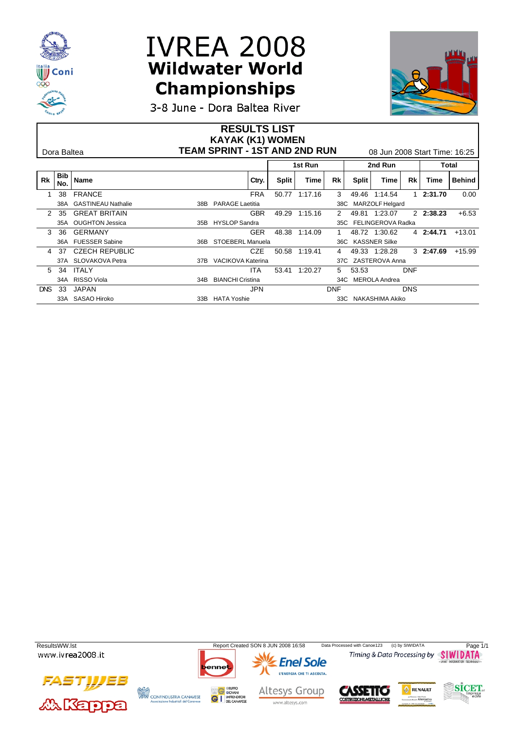



**3-8 June - Dora Baltea River** 

|            | Dora Baltea |                           | <b>RESULTS LIST</b><br><b>KAYAK (K1) WOMEN</b> | <b>TEAM SPRINT - 1ST AND 2ND RUN</b><br>08 Jun 2008 Start Time: 16:25 |              |         |            |         |                       |            |           |               |
|------------|-------------|---------------------------|------------------------------------------------|-----------------------------------------------------------------------|--------------|---------|------------|---------|-----------------------|------------|-----------|---------------|
|            |             |                           |                                                |                                                                       |              | 1st Run |            | 2nd Run |                       |            | Total     |               |
| <b>Rk</b>  | Bib<br>No.  | <b>Name</b>               |                                                | Ctry.                                                                 | <b>Split</b> | Time    | Rk         | Split   | Time                  | Rk         | Time      | <b>Behind</b> |
|            | 38          | <b>FRANCE</b>             |                                                | <b>FRA</b>                                                            | 50.77        | 1:17.16 | 3          | 49.46   | 1:14.54               |            | 2:31.70   | 0.00          |
|            | 38A         | <b>GASTINEAU Nathalie</b> |                                                | 38B PARAGE Laetitia                                                   |              |         |            |         | 38C MARZOLF Helgard   |            |           |               |
|            | -35         | <b>GREAT BRITAIN</b>      |                                                | <b>GBR</b>                                                            | 49.29        | 1:15.16 | 2          |         | 49.81 1:23.07         |            | 2 2:38.23 | $+6.53$       |
|            |             | 35A OUGHTON Jessica       |                                                | 35B HYSLOP Sandra                                                     |              |         |            |         | 35C FELINGEROVA Radka |            |           |               |
|            | 36          | <b>GERMANY</b>            |                                                | <b>GER</b>                                                            | 48.38        | 1:14.09 |            |         | 48.72 1:30.62         |            | 4 2:44.71 | $+13.01$      |
|            |             | 36A FUESSER Sabine        | 36B                                            | STOEBERL Manuela                                                      |              |         |            |         | 36C KASSNER Silke     |            |           |               |
|            | -37         | <b>CZECH REPUBLIC</b>     |                                                | CZE                                                                   | 50.58        | 1:19.41 |            | 49.33   | 1:28.28               |            | 3 2:47.69 | $+15.99$      |
|            |             | 37A SLOVAKOVA Petra       |                                                | 37B VACIKOVA Katerina                                                 |              |         |            |         | 37C ZASTEROVA Anna    |            |           |               |
|            | 5 34        | ITALY                     |                                                | <b>ITA</b>                                                            | 53.41        | 1:20.27 | 5          | 53.53   |                       | <b>DNF</b> |           |               |
|            |             | 34A RISSO Viola           |                                                | 34B BIANCHI Cristina                                                  |              |         |            |         | 34C MEROLA Andrea     |            |           |               |
| <b>DNS</b> | 33          | <b>JAPAN</b>              |                                                | <b>JPN</b>                                                            |              |         | <b>DNF</b> |         |                       | <b>DNS</b> |           |               |
|            |             | 33A SASAO Hiroko          |                                                | 33B HATA Yoshie                                                       |              |         |            |         | 33C NAKASHIMA Akiko   |            |           |               |

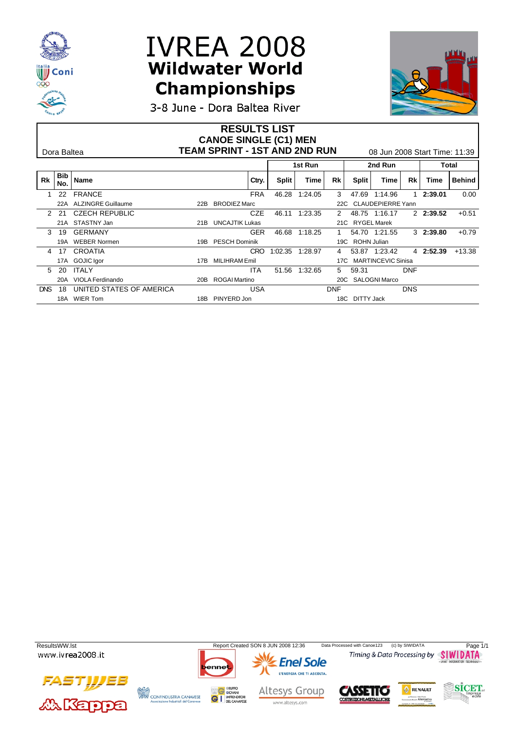



3-8 June - Dora Baltea River

| <b>TEAM SPRINT - 1ST AND 2ND RUN</b><br>08 Jun 2008 Start Time: 11:39<br>Dora Baltea                          |
|---------------------------------------------------------------------------------------------------------------|
| 2nd Run<br>1st Run<br>Total                                                                                   |
| Bib<br><b>Rk</b><br>Name<br>Rk<br>Behind<br>Ctry.<br>Split<br>Split<br>Rk<br>Time<br>Time<br>Time<br>No.      |
| <b>FRANCE</b><br>22<br><b>FRA</b><br>46.28<br>1:24.05<br>0.00<br>3<br>47.69<br>1:14.96<br>2:39.01             |
| <b>ALZINGRE Guillaume</b><br>22B BRODIEZ Marc<br>22C CLAUDEPIERRE Yann<br>22A                                 |
| <b>CZE</b><br><b>CZECH REPUBLIC</b><br>1:23.35<br>48.75 1:16.17<br>2 2:39.52<br>$+0.51$<br>46.11<br>2 21<br>2 |
| 21A STASTNY Jan<br>21B UNCAJTIK Lukas<br>21C RYGEL Marek                                                      |
| <b>GERMANY</b><br><b>GER</b><br>46.68<br>54.70 1:21.55<br>32:39.80<br>$+0.79$<br>1:18.25<br>19                |
| 19A WEBER Normen<br>19B PESCH Dominik<br>19C ROHN Julian                                                      |
| CROATIA<br>4 2:52.39<br>CRO<br>1:02.35<br>53.87 1:23.42<br>$+13.38$<br>1:28.97<br>4 17<br>4                   |
| 17A GOJIC Igor<br>17B MILIHRAM Emil<br>17C MARTINCEVIC Sinisa                                                 |
| ITALY<br><b>ITA</b><br>51.56<br>1:32.65<br><b>DNF</b><br>5 20<br>59.31<br>5                                   |
| 20B ROGAI Martino<br>20C SALOGNI Marco<br>20A VIOLA Ferdinando                                                |
| UNITED STATES OF AMERICA<br><b>DNS</b><br>DNS<br><b>USA</b><br><b>DNF</b><br>18                               |
| 18A WIER Tom<br>PINYERD Jon<br>18C DITTY Jack<br>18B                                                          |

ResultsWW.lst Report Created SON 8 JUN 2008 12:36 Data Processed with Canoe123 (c) by SIWIDATA Page 1/1<br>WWW.ivrea 2008.it Timing & Data Processing by SIWIDATA **Enel Sole** Data Processed with Canoe123 (c) by SIWIDATA L'ENERGIA CHE TI ASCOLTA. F IJE 3 **SICET** RENAULT **CONFINDUSTRIA CANAVESE**<br>Associazione Industriali del Canavese Altesys Group **SSETTO GI** IMPRENDITOR **RUZIONI METALLICHE** www.altesys.com **AAKappa**